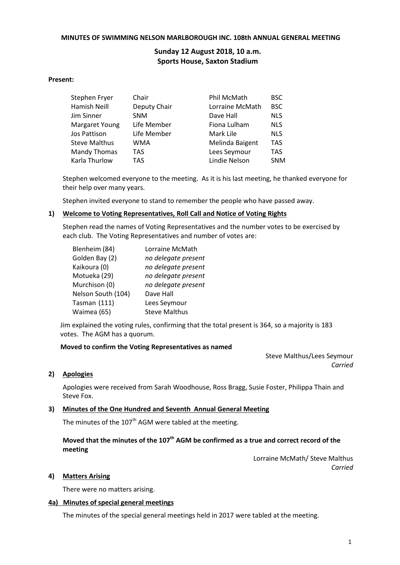### **MINUTES OF SWIMMING NELSON MARLBOROUGH INC. 108th ANNUAL GENERAL MEETING**

# **Sunday 12 August 2018, 10 a.m. Sports House, Saxton Stadium**

### **Present:**

| Stephen Fryer        | Chair        | Phil McMath     | <b>BSC</b> |
|----------------------|--------------|-----------------|------------|
| Hamish Neill         | Deputy Chair | Lorraine McMath | <b>BSC</b> |
| Jim Sinner           | <b>SNM</b>   | Dave Hall       | <b>NLS</b> |
| Margaret Young       | Life Member  | Fiona Lulham    | <b>NLS</b> |
| Jos Pattison         | Life Member  | Mark Lile       | <b>NLS</b> |
| <b>Steve Malthus</b> | <b>WMA</b>   | Melinda Baigent | <b>TAS</b> |
| Mandy Thomas         | <b>TAS</b>   | Lees Seymour    | <b>TAS</b> |
| Karla Thurlow        | <b>TAS</b>   | Lindie Nelson   | <b>SNM</b> |

Stephen welcomed everyone to the meeting. As it is his last meeting, he thanked everyone for their help over many years.

Stephen invited everyone to stand to remember the people who have passed away.

## **1) Welcome to Voting Representatives, Roll Call and Notice of Voting Rights**

Stephen read the names of Voting Representatives and the number votes to be exercised by each club. The Voting Representatives and number of votes are:

| Blenheim (84)      | Lorraine McMath      |
|--------------------|----------------------|
| Golden Bay (2)     | no delegate present  |
| Kaikoura (0)       | no delegate present  |
| Motueka (29)       | no delegate present  |
| Murchison (0)      | no delegate present  |
| Nelson South (104) | Dave Hall            |
| Tasman (111)       | Lees Seymour         |
| Waimea (65)        | <b>Steve Malthus</b> |

Jim explained the voting rules, confirming that the total present is 364, so a majority is 183 votes. The AGM has a quorum.

#### **Moved to confirm the Voting Representatives as named**

Steve Malthus/Lees Seymour *Carried*

### **2) Apologies**

Apologies were received from Sarah Woodhouse, Ross Bragg, Susie Foster, Philippa Thain and Steve Fox.

## **3) Minutes of the One Hundred and Seventh Annual General Meeting**

The minutes of the  $107<sup>th</sup>$  AGM were tabled at the meeting.

# Moved that the minutes of the 107<sup>th</sup> AGM be confirmed as a true and correct record of the **meeting**

Lorraine McMath/ Steve Malthus *Carried*

### **4) Matters Arising**

There were no matters arising.

### **4a) Minutes of special general meetings**

The minutes of the special general meetings held in 2017 were tabled at the meeting.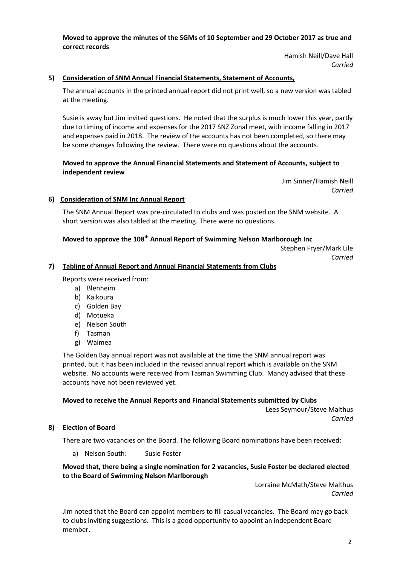**Moved to approve the minutes of the SGMs of 10 September and 29 October 2017 as true and correct records**

> Hamish Neill/Dave Hall *Carried*

## **5) Consideration of SNM Annual Financial Statements, Statement of Accounts,**

The annual accounts in the printed annual report did not print well, so a new version was tabled at the meeting.

Susie is away but Jim invited questions. He noted that the surplus is much lower this year, partly due to timing of income and expenses for the 2017 SNZ Zonal meet, with income falling in 2017 and expenses paid in 2018. The review of the accounts has not been completed, so there may be some changes following the review. There were no questions about the accounts.

## **Moved to approve the Annual Financial Statements and Statement of Accounts, subject to independent review**

Jim Sinner/Hamish Neill *Carried*

### **6) Consideration of SNM Inc Annual Report**

The SNM Annual Report was pre-circulated to clubs and was posted on the SNM website. A short version was also tabled at the meeting. There were no questions.

# **Moved to approve the 108 th Annual Report of Swimming Nelson Marlborough Inc**

Stephen Fryer/Mark Lile *Carried*

### **7) Tabling of Annual Report and Annual Financial Statements from Clubs**

Reports were received from:

- a) Blenheim
- b) Kaikoura
- c) Golden Bay
- d) Motueka
- e) Nelson South
- f) Tasman
- g) Waimea

The Golden Bay annual report was not available at the time the SNM annual report was printed, but it has been included in the revised annual report which is available on the SNM website. No accounts were received from Tasman Swimming Club. Mandy advised that these accounts have not been reviewed yet.

## **Moved to receive the Annual Reports and Financial Statements submitted by Clubs**

Lees Seymour/Steve Malthus *Carried*

## **8) Election of Board**

There are two vacancies on the Board. The following Board nominations have been received:

a) Nelson South: Susie Foster

## **Moved that, there being a single nomination for 2 vacancies, Susie Foster be declared elected to the Board of Swimming Nelson Marlborough**

Lorraine McMath/Steve Malthus *Carried*

Jim noted that the Board can appoint members to fill casual vacancies. The Board may go back to clubs inviting suggestions. This is a good opportunity to appoint an independent Board member.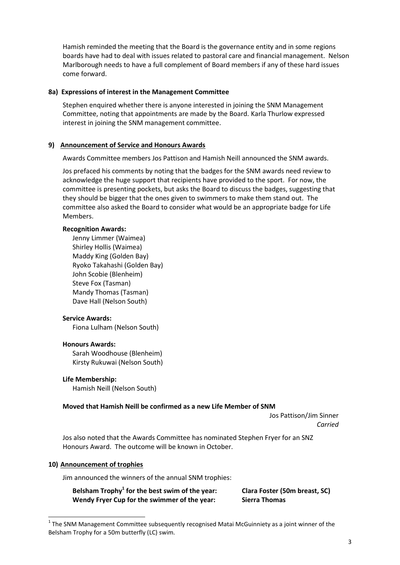Hamish reminded the meeting that the Board is the governance entity and in some regions boards have had to deal with issues related to pastoral care and financial management. Nelson Marlborough needs to have a full complement of Board members if any of these hard issues come forward.

### **8a) Expressions of interest in the Management Committee**

Stephen enquired whether there is anyone interested in joining the SNM Management Committee, noting that appointments are made by the Board. Karla Thurlow expressed interest in joining the SNM management committee.

## **9) Announcement of Service and Honours Awards**

Awards Committee members Jos Pattison and Hamish Neill announced the SNM awards.

Jos prefaced his comments by noting that the badges for the SNM awards need review to acknowledge the huge support that recipients have provided to the sport. For now, the committee is presenting pockets, but asks the Board to discuss the badges, suggesting that they should be bigger that the ones given to swimmers to make them stand out. The committee also asked the Board to consider what would be an appropriate badge for Life Members.

#### **Recognition Awards:**

Jenny Limmer (Waimea) Shirley Hollis (Waimea) Maddy King (Golden Bay) Ryoko Takahashi (Golden Bay) John Scobie (Blenheim) Steve Fox (Tasman) Mandy Thomas (Tasman) Dave Hall (Nelson South)

#### **Service Awards:**

Fiona Lulham (Nelson South)

#### **Honours Awards:**

Sarah Woodhouse (Blenheim) Kirsty Rukuwai (Nelson South)

#### **Life Membership:**

Hamish Neill (Nelson South)

#### **Moved that Hamish Neill be confirmed as a new Life Member of SNM**

Jos Pattison/Jim Sinner *Carried*

Jos also noted that the Awards Committee has nominated Stephen Fryer for an SNZ Honours Award. The outcome will be known in October.

#### **10) Announcement of trophies**

-

Jim announced the winners of the annual SNM trophies:

**Belsham Trophy<sup>1</sup> for the best swim of the year: Clara Foster (50m breast, SC) Wendy Fryer Cup for the swimmer of the year: Sierra Thomas**

 $1$  The SNM Management Committee subsequently recognised Matai McGuinniety as a joint winner of the Belsham Trophy for a 50m butterfly (LC) swim.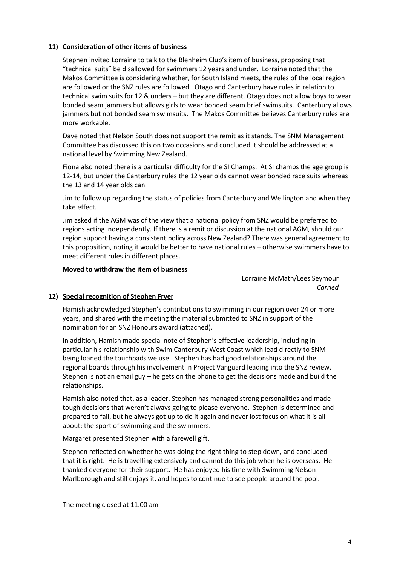# **11) Consideration of other items of business**

Stephen invited Lorraine to talk to the Blenheim Club's item of business, proposing that "technical suits" be disallowed for swimmers 12 years and under. Lorraine noted that the Makos Committee is considering whether, for South Island meets, the rules of the local region are followed or the SNZ rules are followed. Otago and Canterbury have rules in relation to technical swim suits for 12 & unders – but they are different. Otago does not allow boys to wear bonded seam jammers but allows girls to wear bonded seam brief swimsuits. Canterbury allows jammers but not bonded seam swimsuits. The Makos Committee believes Canterbury rules are more workable.

Dave noted that Nelson South does not support the remit as it stands. The SNM Management Committee has discussed this on two occasions and concluded it should be addressed at a national level by Swimming New Zealand.

Fiona also noted there is a particular difficulty for the SI Champs. At SI champs the age group is 12-14, but under the Canterbury rules the 12 year olds cannot wear bonded race suits whereas the 13 and 14 year olds can.

Jim to follow up regarding the status of policies from Canterbury and Wellington and when they take effect.

Jim asked if the AGM was of the view that a national policy from SNZ would be preferred to regions acting independently. If there is a remit or discussion at the national AGM, should our region support having a consistent policy across New Zealand? There was general agreement to this proposition, noting it would be better to have national rules – otherwise swimmers have to meet different rules in different places.

## **Moved to withdraw the item of business**

Lorraine McMath/Lees Seymour *Carried*

# **12) Special recognition of Stephen Fryer**

Hamish acknowledged Stephen's contributions to swimming in our region over 24 or more years, and shared with the meeting the material submitted to SNZ in support of the nomination for an SNZ Honours award (attached).

In addition, Hamish made special note of Stephen's effective leadership, including in particular his relationship with Swim Canterbury West Coast which lead directly to SNM being loaned the touchpads we use. Stephen has had good relationships around the regional boards through his involvement in Project Vanguard leading into the SNZ review. Stephen is not an email guy – he gets on the phone to get the decisions made and build the relationships.

Hamish also noted that, as a leader, Stephen has managed strong personalities and made tough decisions that weren't always going to please everyone. Stephen is determined and prepared to fail, but he always got up to do it again and never lost focus on what it is all about: the sport of swimming and the swimmers.

Margaret presented Stephen with a farewell gift.

Stephen reflected on whether he was doing the right thing to step down, and concluded that it is right. He is travelling extensively and cannot do this job when he is overseas. He thanked everyone for their support. He has enjoyed his time with Swimming Nelson Marlborough and still enjoys it, and hopes to continue to see people around the pool.

The meeting closed at 11.00 am